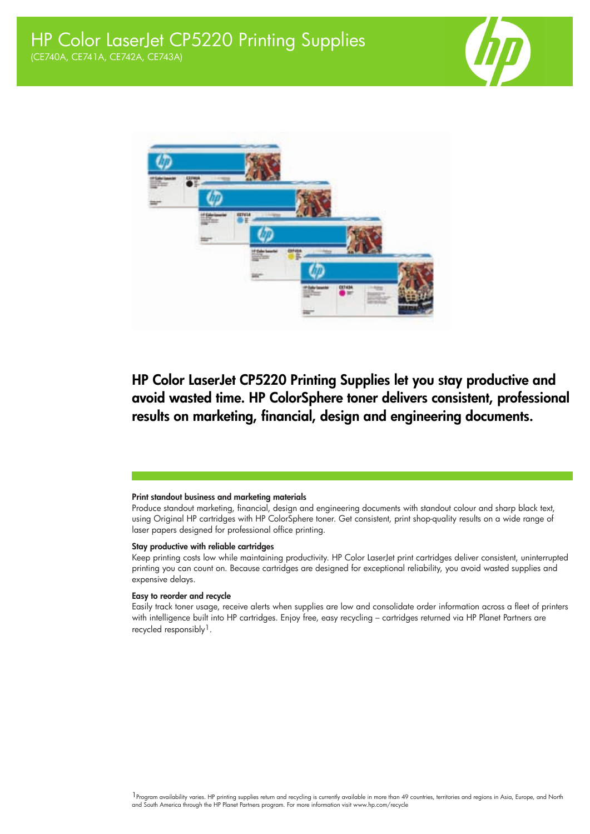



## HP Color LaserJet CP5220 Printing Supplies let you stay productive and avoid wasted time. HP ColorSphere toner delivers consistent, professional results on marketing, financial, design and engineering documents.

#### Print standout business and marketing materials

Produce standout marketing, financial, design and engineering documents with standout colour and sharp black text, using Original HP cartridges with HP ColorSphere toner. Get consistent, print shop-quality results on a wide range of laser papers designed for professional office printing.

### Stay productive with reliable cartridges

Keep printing costs low while maintaining productivity. HP Color LaserJet print cartridges deliver consistent, uninterrupted printing you can count on. Because cartridges are designed for exceptional reliability, you avoid wasted supplies and expensive delays.

### Easy to reorder and recycle

Easily track toner usage, receive alerts when supplies are low and consolidate order information across a fleet of printers with intelligence built into HP cartridges. Enjoy free, easy recycling – cartridges returned via HP Planet Partners are recycled responsibly<sup>1</sup>.